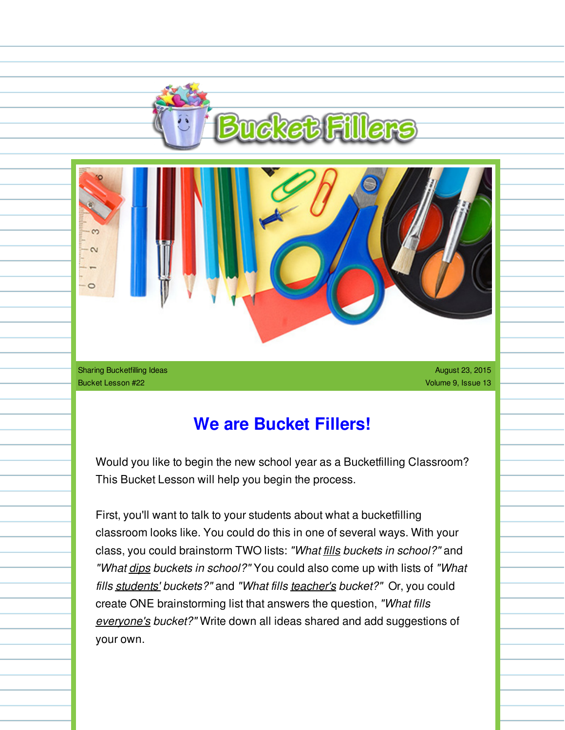



Sharing Bucketfilling Ideas Bucket Lesson #22

August 23, 2015 Volume 9, Issue 13

## **We are Bucket Fillers!**

Would you like to begin the new school year as a Bucketfilling Classroom? This Bucket Lesson will help you begin the process.

First, you'll want to talk to your students about what a bucketfilling classroom looks like. You could do this in one of several ways. With your class, you could brainstorm TWO lists: *"What fills buckets in school?"* and *"What dips buckets in school?"* You could also come up with lists of *"What fills students' buckets?"* and *"What fills teacher's bucket?"* Or, you could create ONE brainstorming list that answers the question, *"What fills everyone's bucket?"* Write down all ideas shared and add suggestions of your own.